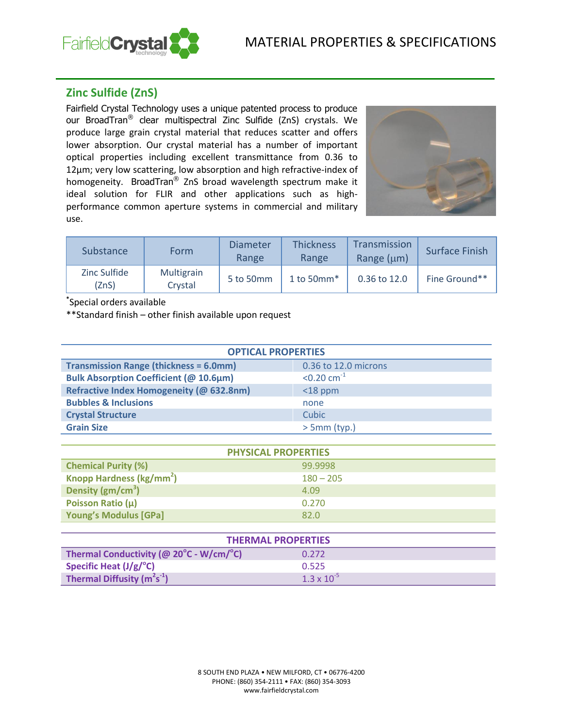

# **Zinc Sulfide (ZnS)**

Fairfield Crystal Technology uses a unique patented process to produce our BroadTran® clear multispectral Zinc Sulfide (ZnS) crystals. We produce large grain crystal material that reduces scatter and offers lower absorption. Our crystal material has a number of important optical properties including excellent transmittance from 0.36 to 12µm; very low scattering, low absorption and high refractive-index of homogeneity. BroadTran® ZnS broad wavelength spectrum make it ideal solution for FLIR and other applications such as highperformance common aperture systems in commercial and military use.



| <b>Substance</b>      | Form                  | Diameter<br>Range | <b>Thickness</b><br>Range | Transmission<br>Range $(\mu m)$ | Surface Finish |
|-----------------------|-----------------------|-------------------|---------------------------|---------------------------------|----------------|
| Zinc Sulfide<br>(ZnS) | Multigrain<br>Crystal | 5 to 50mm         | 1 to 50 $mm*$             | 0.36 to 12.0                    | Fine Ground**  |

**\*** Special orders available

\*\*Standard finish – other finish available upon request

| <b>OPTICAL PROPERTIES</b>                     |                           |  |
|-----------------------------------------------|---------------------------|--|
| <b>Transmission Range (thickness = 6.0mm)</b> | 0.36 to 12.0 microns      |  |
| <b>Bulk Absorption Coefficient (@ 10.6µm)</b> | $< 0.20$ cm <sup>-1</sup> |  |
| Refractive Index Homogeneity (@ 632.8nm)      | $<$ 18 ppm                |  |
| <b>Bubbles &amp; Inclusions</b>               | none                      |  |
| <b>Crystal Structure</b>                      | Cubic                     |  |
| <b>Grain Size</b>                             | $> 5mm$ (typ.)            |  |

| <b>PHYSICAL PROPERTIES</b>           |             |  |
|--------------------------------------|-------------|--|
| <b>Chemical Purity (%)</b>           | 99.9998     |  |
| Knopp Hardness (kg/mm <sup>2</sup> ) | $180 - 205$ |  |
| Density $(gm/cm3)$                   | 4.09        |  |
| Poisson Ratio (µ)                    | 0.270       |  |
| <b>Young's Modulus [GPa]</b>         | 82.O        |  |

| <b>THERMAL PROPERTIES</b>                                    |                      |  |
|--------------------------------------------------------------|----------------------|--|
| Thermal Conductivity (@ $20^{\circ}$ C - W/cm/ $^{\circ}$ C) | 0.272                |  |
| Specific Heat $(J/g)^{\circ}C$                               | 0.525                |  |
| Thermal Diffusity $(m^2s^{-1})$                              | $1.3 \times 10^{-5}$ |  |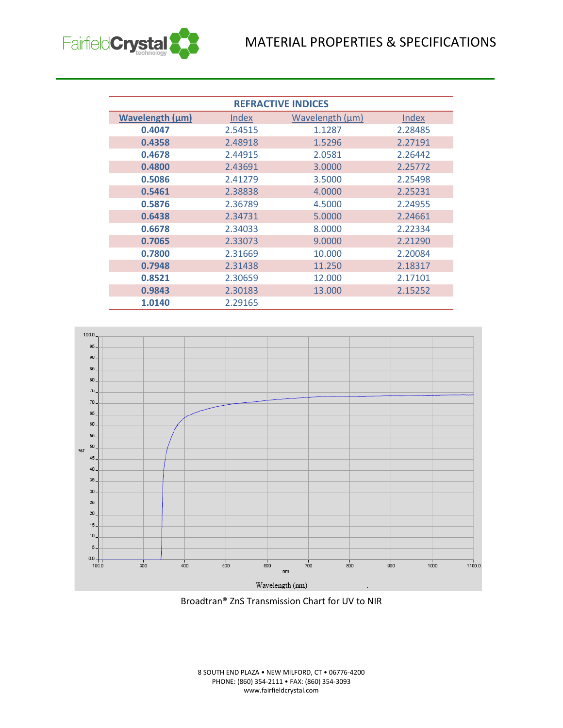

| <b>REFRACTIVE INDICES</b> |         |                 |         |
|---------------------------|---------|-----------------|---------|
| <b>Wavelength (µm)</b>    | Index   | Wavelength (µm) | Index   |
| 0.4047                    | 2.54515 | 1.1287          | 2.28485 |
| 0.4358                    | 2.48918 | 1.5296          | 2.27191 |
| 0.4678                    | 2.44915 | 2.0581          | 2.26442 |
| 0.4800                    | 2.43691 | 3.0000          | 2.25772 |
| 0.5086                    | 2.41279 | 3.5000          | 2.25498 |
| 0.5461                    | 2.38838 | 4.0000          | 2.25231 |
| 0.5876                    | 2.36789 | 4.5000          | 2.24955 |
| 0.6438                    | 2.34731 | 5.0000          | 2.24661 |
| 0.6678                    | 2.34033 | 8.0000          | 2.22334 |
| 0.7065                    | 2.33073 | 9.0000          | 2.21290 |
| 0.7800                    | 2.31669 | 10.000          | 2.20084 |
| 0.7948                    | 2.31438 | 11.250          | 2.18317 |
| 0.8521                    | 2.30659 | 12.000          | 2.17101 |
| 0.9843                    | 2.30183 | 13.000          | 2.15252 |
| 1.0140                    | 2.29165 |                 |         |



Broadtran® ZnS Transmission Chart for UV to NIR

8 SOUTH END PLAZA • NEW MILFORD, CT • 06776-4200 PHONE: (860) 354-2111 • FAX: (860) 354-3093 www.fairfieldcrystal.com